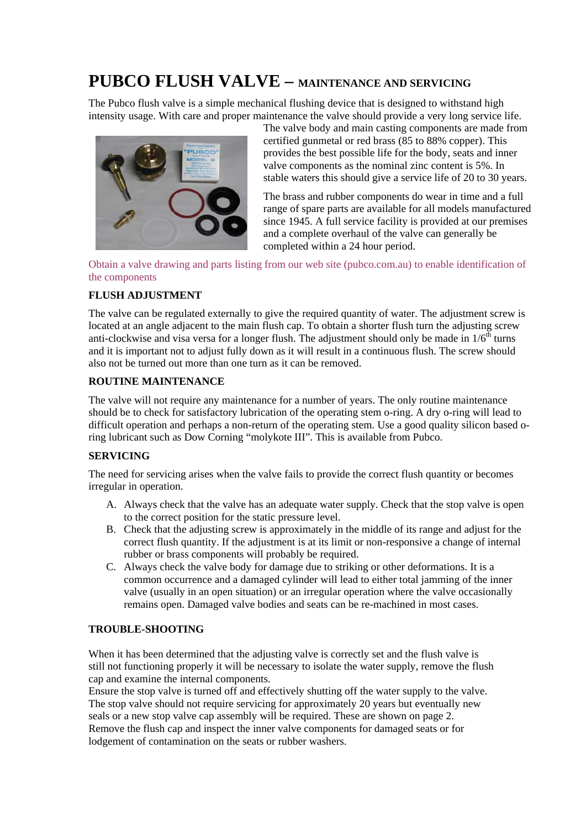# **PUBCO FLUSH VALVE – MAINTENANCE AND SERVICING**

The Pubco flush valve is a simple mechanical flushing device that is designed to withstand high intensity usage. With care and proper maintenance the valve should provide a very long service life.



The valve body and main casting components are made from certified gunmetal or red brass (85 to 88% copper). This provides the best possible life for the body, seats and inner valve components as the nominal zinc content is 5%. In stable waters this should give a service life of 20 to 30 years.

The brass and rubber components do wear in time and a full range of spare parts are available for all models manufactured since 1945. A full service facility is provided at our premises and a complete overhaul of the valve can generally be completed within a 24 hour period.

Obtain a valve drawing and parts listing from our web site (pubco.com.au) to enable identification of the components

# **FLUSH ADJUSTMENT**

The valve can be regulated externally to give the required quantity of water. The adjustment screw is located at an angle adjacent to the main flush cap. To obtain a shorter flush turn the adjusting screw anti-clockwise and visa versa for a longer flush. The adjustment should only be made in  $1/6<sup>th</sup>$  turns and it is important not to adjust fully down as it will result in a continuous flush. The screw should also not be turned out more than one turn as it can be removed.

# **ROUTINE MAINTENANCE**

The valve will not require any maintenance for a number of years. The only routine maintenance should be to check for satisfactory lubrication of the operating stem o-ring. A dry o-ring will lead to difficult operation and perhaps a non-return of the operating stem. Use a good quality silicon based oring lubricant such as Dow Corning "molykote III". This is available from Pubco.

# **SERVICING**

The need for servicing arises when the valve fails to provide the correct flush quantity or becomes irregular in operation.

- A. Always check that the valve has an adequate water supply. Check that the stop valve is open to the correct position for the static pressure level.
- B. Check that the adjusting screw is approximately in the middle of its range and adjust for the correct flush quantity. If the adjustment is at its limit or non-responsive a change of internal rubber or brass components will probably be required.
- C. Always check the valve body for damage due to striking or other deformations. It is a common occurrence and a damaged cylinder will lead to either total jamming of the inner valve (usually in an open situation) or an irregular operation where the valve occasionally remains open. Damaged valve bodies and seats can be re-machined in most cases.

# **TROUBLE-SHOOTING**

When it has been determined that the adjusting valve is correctly set and the flush valve is still not functioning properly it will be necessary to isolate the water supply, remove the flush cap and examine the internal components.

Ensure the stop valve is turned off and effectively shutting off the water supply to the valve. The stop valve should not require servicing for approximately 20 years but eventually new seals or a new stop valve cap assembly will be required. These are shown on page 2. Remove the flush cap and inspect the inner valve components for damaged seats or for lodgement of contamination on the seats or rubber washers.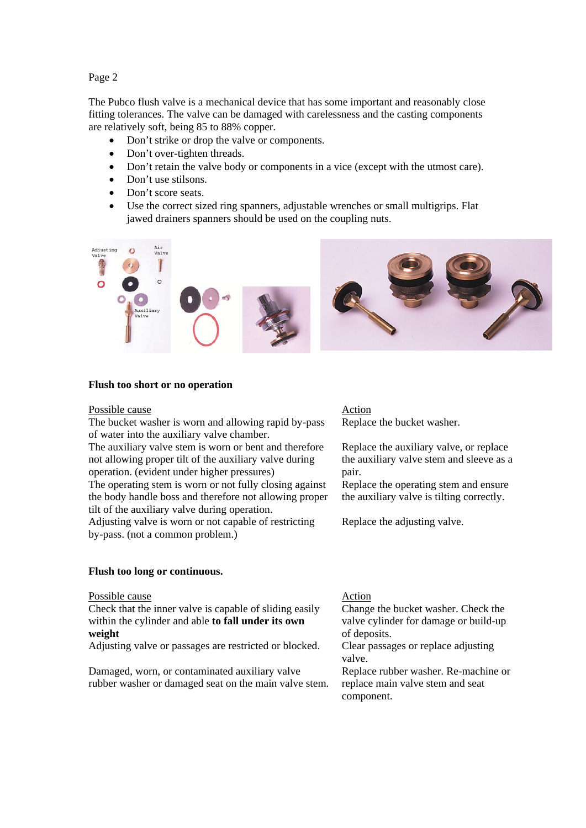## Page 2

The Pubco flush valve is a mechanical device that has some important and reasonably close fitting tolerances. The valve can be damaged with carelessness and the casting components are relatively soft, being 85 to 88% copper.

- Don't strike or drop the valve or components.
- Don't over-tighten threads.
- Don't retain the valve body or components in a vice (except with the utmost care).
- Don't use stilsons.
- Don't score seats.
- Use the correct sized ring spanners, adjustable wrenches or small multigrips. Flat jawed drainers spanners should be used on the coupling nuts.



### **Flush too short or no operation**

### Possible cause Action

The bucket washer is worn and allowing rapid by-pass of water into the auxiliary valve chamber. The auxiliary valve stem is worn or bent and therefore not allowing proper tilt of the auxiliary valve during operation. (evident under higher pressures) The operating stem is worn or not fully closing against the body handle boss and therefore not allowing proper tilt of the auxiliary valve during operation. Adjusting valve is worn or not capable of restricting by-pass. (not a common problem.)

### **Flush too long or continuous.**

### Possible cause Action

Check that the inner valve is capable of sliding easily within the cylinder and able **to fall under its own weight**

Adjusting valve or passages are restricted or blocked. Clear passages or replace adjusting

Damaged, worn, or contaminated auxiliary valve rubber washer or damaged seat on the main valve stem. Replace the bucket washer.

Replace the auxiliary valve, or replace the auxiliary valve stem and sleeve as a pair.

Replace the operating stem and ensure the auxiliary valve is tilting correctly.

Replace the adjusting valve.

Change the bucket washer. Check the valve cylinder for damage or build-up of deposits.

valve.

Replace rubber washer. Re-machine or replace main valve stem and seat component.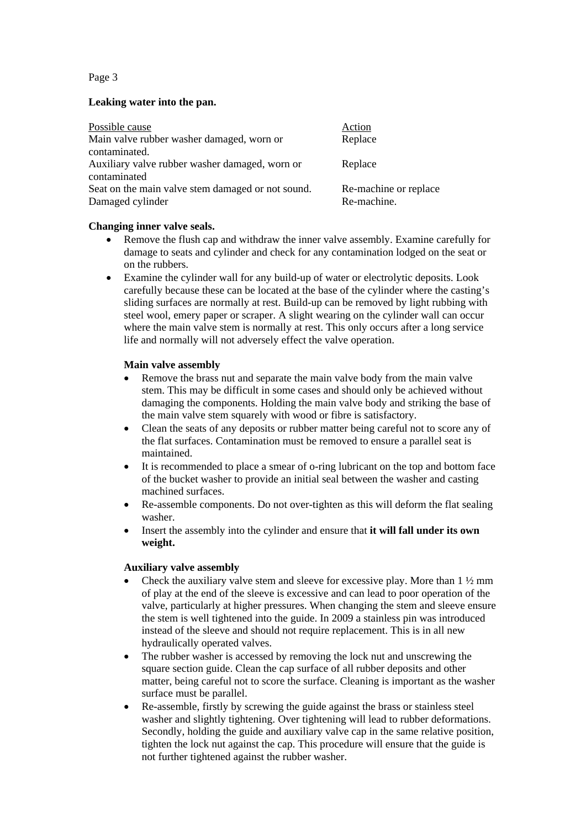Page 3

# **Leaking water into the pan.**

| Possible cause                                    | Action                |
|---------------------------------------------------|-----------------------|
| Main valve rubber washer damaged, worn or         | Replace               |
| contaminated.                                     |                       |
| Auxiliary valve rubber washer damaged, worn or    | Replace               |
| contaminated                                      |                       |
| Seat on the main valve stem damaged or not sound. | Re-machine or replace |
| Damaged cylinder                                  | Re-machine.           |

# **Changing inner valve seals.**

- Remove the flush cap and withdraw the inner valve assembly. Examine carefully for damage to seats and cylinder and check for any contamination lodged on the seat or on the rubbers.
- Examine the cylinder wall for any build-up of water or electrolytic deposits. Look carefully because these can be located at the base of the cylinder where the casting's sliding surfaces are normally at rest. Build-up can be removed by light rubbing with steel wool, emery paper or scraper. A slight wearing on the cylinder wall can occur where the main valve stem is normally at rest. This only occurs after a long service life and normally will not adversely effect the valve operation.

# **Main valve assembly**

- Remove the brass nut and separate the main valve body from the main valve stem. This may be difficult in some cases and should only be achieved without damaging the components. Holding the main valve body and striking the base of the main valve stem squarely with wood or fibre is satisfactory.
- Clean the seats of any deposits or rubber matter being careful not to score any of the flat surfaces. Contamination must be removed to ensure a parallel seat is maintained.
- It is recommended to place a smear of o-ring lubricant on the top and bottom face of the bucket washer to provide an initial seal between the washer and casting machined surfaces.
- Re-assemble components. Do not over-tighten as this will deform the flat sealing washer.
- Insert the assembly into the cylinder and ensure that **it will fall under its own weight.**

# **Auxiliary valve assembly**

- Check the auxiliary valve stem and sleeve for excessive play. More than 1 ½ mm of play at the end of the sleeve is excessive and can lead to poor operation of the valve, particularly at higher pressures. When changing the stem and sleeve ensure the stem is well tightened into the guide. In 2009 a stainless pin was introduced instead of the sleeve and should not require replacement. This is in all new hydraulically operated valves.
- The rubber washer is accessed by removing the lock nut and unscrewing the square section guide. Clean the cap surface of all rubber deposits and other matter, being careful not to score the surface. Cleaning is important as the washer surface must be parallel.
- Re-assemble, firstly by screwing the guide against the brass or stainless steel washer and slightly tightening. Over tightening will lead to rubber deformations. Secondly, holding the guide and auxiliary valve cap in the same relative position, tighten the lock nut against the cap. This procedure will ensure that the guide is not further tightened against the rubber washer.